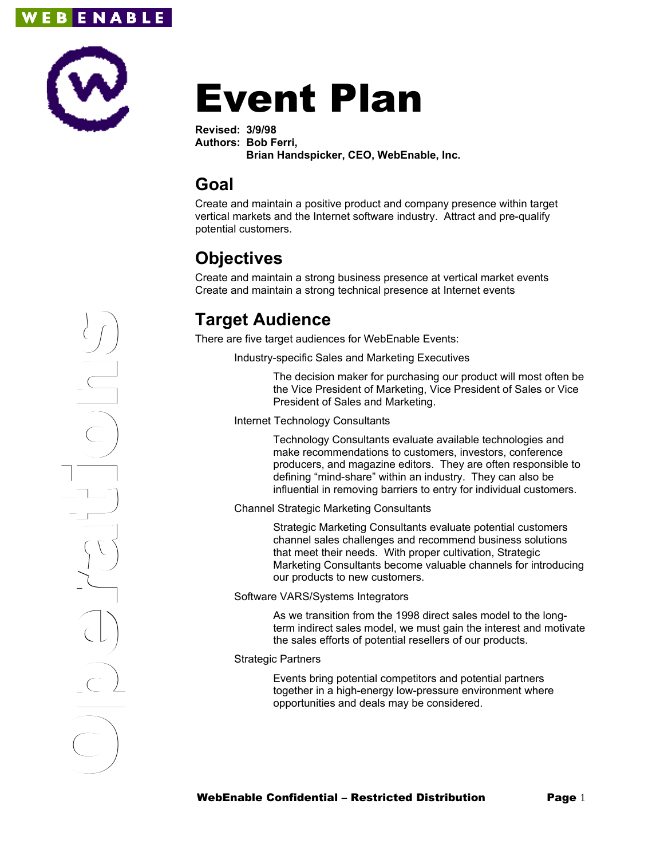



# Event Plan

**Revised: 3/9/98 Authors: Bob Ferri, Brian Handspicker, CEO, WebEnable, Inc.**

### **Goal**

Create and maintain a positive product and company presence within target vertical markets and the Internet software industry. Attract and pre-qualify potential customers.

## **Objectives**

Create and maintain a strong business presence at vertical market events Create and maintain a strong technical presence at Internet events

## **Target Audience**

There are five target audiences for WebEnable Events:

Industry-specific Sales and Marketing Executives

The decision maker for purchasing our product will most often be the Vice President of Marketing, Vice President of Sales or Vice President of Sales and Marketing.

Internet Technology Consultants

Technology Consultants evaluate available technologies and make recommendations to customers, investors, conference producers, and magazine editors. They are often responsible to defining "mind-share" within an industry. They can also be influential in removing barriers to entry for individual customers.

#### Channel Strategic Marketing Consultants

Strategic Marketing Consultants evaluate potential customers channel sales challenges and recommend business solutions that meet their needs. With proper cultivation, Strategic Marketing Consultants become valuable channels for introducing our products to new customers.

Software VARS/Systems Integrators

As we transition from the 1998 direct sales model to the longterm indirect sales model, we must gain the interest and motivate the sales efforts of potential resellers of our products.

#### Strategic Partners

Events bring potential competitors and potential partners together in a high-energy low-pressure environment where opportunities and deals may be considered.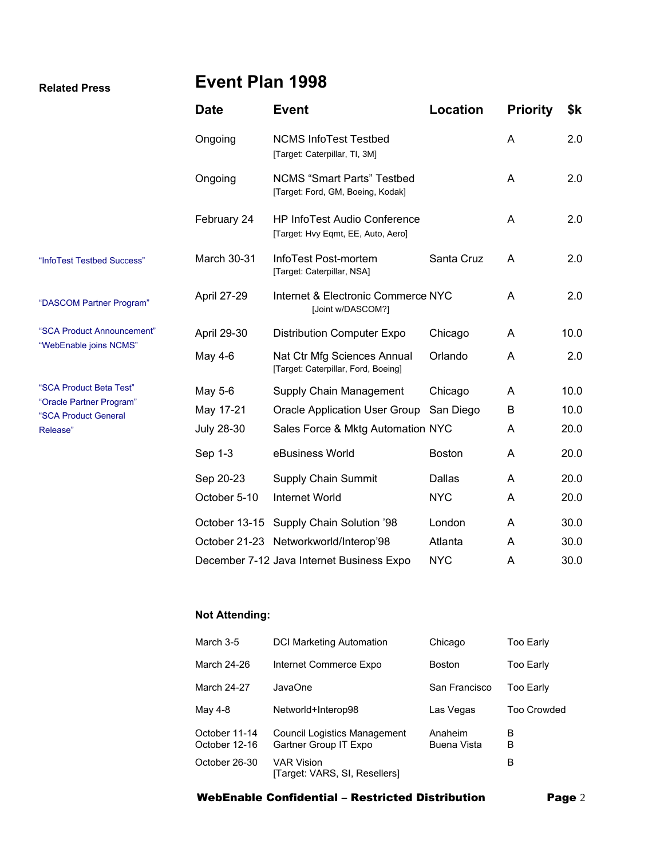#### **Related Press**

## **Event Plan 1998**

|                                                  | <b>Date</b>       | <b>Event</b>                                                              | <b>Location</b> | <b>Priority</b> | \$k  |
|--------------------------------------------------|-------------------|---------------------------------------------------------------------------|-----------------|-----------------|------|
|                                                  | Ongoing           | <b>NCMS InfoTest Testbed</b><br>[Target: Caterpillar, TI, 3M]             |                 | A               | 2.0  |
|                                                  | Ongoing           | <b>NCMS</b> "Smart Parts" Testbed<br>[Target: Ford, GM, Boeing, Kodak]    |                 | A               | 2.0  |
|                                                  | February 24       | <b>HP InfoTest Audio Conference</b><br>[Target: Hvy Eqmt, EE, Auto, Aero] |                 | A               | 2.0  |
| "InfoTest Testbed Success"                       | March 30-31       | InfoTest Post-mortem<br>[Target: Caterpillar, NSA]                        | Santa Cruz      | A               | 2.0  |
| "DASCOM Partner Program"                         | April 27-29       | Internet & Electronic Commerce NYC<br>[Joint w/DASCOM?]                   |                 | A               | 2.0  |
| "SCA Product Announcement"                       | April 29-30       | <b>Distribution Computer Expo</b>                                         | Chicago         | A               | 10.0 |
| "WebEnable joins NCMS"                           | May 4-6           | Nat Ctr Mfg Sciences Annual<br>[Target: Caterpillar, Ford, Boeing]        | Orlando         | A               | 2.0  |
| "SCA Product Beta Test"                          | May 5-6           | Supply Chain Management                                                   | Chicago         | A               | 10.0 |
| "Oracle Partner Program"<br>"SCA Product General | May 17-21         | <b>Oracle Application User Group</b>                                      | San Diego       | B               | 10.0 |
| Release"                                         | <b>July 28-30</b> | Sales Force & Mktg Automation NYC                                         |                 | A               | 20.0 |
|                                                  | Sep 1-3           | eBusiness World                                                           | <b>Boston</b>   | A               | 20.0 |
|                                                  | Sep 20-23         | Supply Chain Summit                                                       | Dallas          | A               | 20.0 |
|                                                  | October 5-10      | Internet World                                                            | <b>NYC</b>      | A               | 20.0 |
|                                                  |                   | October 13-15 Supply Chain Solution '98                                   | London          | A               | 30.0 |
|                                                  |                   | October 21-23 Networkworld/Interop'98                                     | Atlanta         | A               | 30.0 |
|                                                  |                   | December 7-12 Java Internet Business Expo                                 | <b>NYC</b>      | A               | 30.0 |

#### **Not Attending:**

| March 3-5                      | <b>DCI Marketing Automation</b>                              | Chicago                       | Too Early          |
|--------------------------------|--------------------------------------------------------------|-------------------------------|--------------------|
| March 24-26                    | Internet Commerce Expo                                       | <b>Boston</b>                 | Too Early          |
| March 24-27                    | JavaOne                                                      | San Francisco                 | Too Early          |
| May 4-8                        | Networld+Interop98                                           | Las Vegas                     | <b>Too Crowded</b> |
| October 11-14<br>October 12-16 | <b>Council Logistics Management</b><br>Gartner Group IT Expo | Anaheim<br><b>Buena Vista</b> | в<br>в             |
| October 26-30                  | <b>VAR Vision</b><br>[Target: VARS, SI, Resellers]           |                               | в                  |

#### WebEnable Confidential – Restricted Distribution Page 2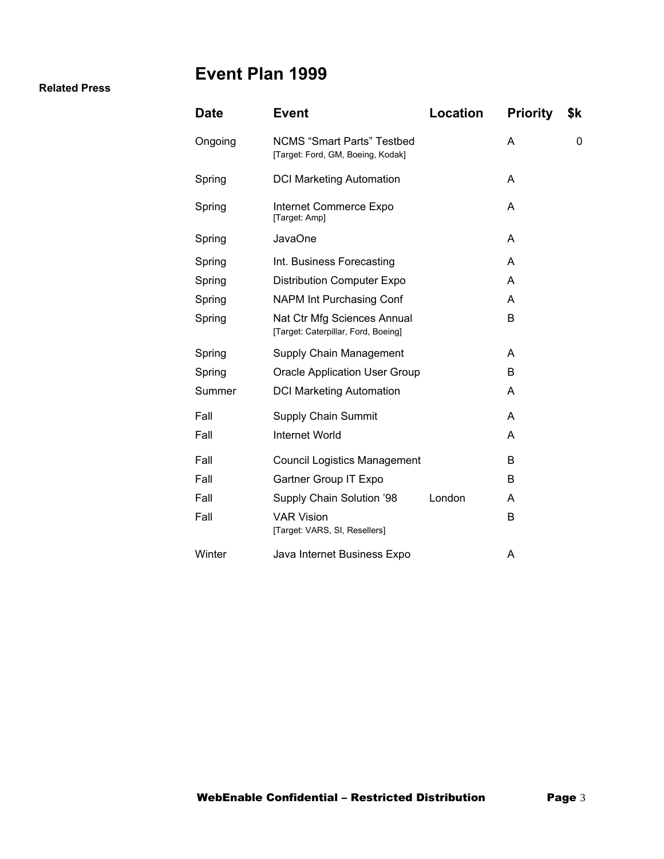## **Event Plan 1999**

#### **Related Press**

| <b>Date</b> | <b>Event</b>                                                           | Location | <b>Priority</b> | \$k |
|-------------|------------------------------------------------------------------------|----------|-----------------|-----|
| Ongoing     | <b>NCMS "Smart Parts" Testbed</b><br>[Target: Ford, GM, Boeing, Kodak] |          | Α               | 0   |
| Spring      | <b>DCI Marketing Automation</b>                                        |          | A               |     |
| Spring      | Internet Commerce Expo<br>[Target: Amp]                                |          | A               |     |
| Spring      | <b>JavaOne</b>                                                         |          | A               |     |
| Spring      | Int. Business Forecasting                                              |          | Α               |     |
| Spring      | <b>Distribution Computer Expo</b>                                      |          | A               |     |
| Spring      | <b>NAPM Int Purchasing Conf</b>                                        |          | A               |     |
| Spring      | Nat Ctr Mfg Sciences Annual<br>[Target: Caterpillar, Ford, Boeing]     |          | В               |     |
| Spring      | Supply Chain Management                                                |          | A               |     |
| Spring      | <b>Oracle Application User Group</b>                                   |          | B               |     |
| Summer      | <b>DCI Marketing Automation</b>                                        |          | A               |     |
| Fall        | <b>Supply Chain Summit</b>                                             |          | Α               |     |
| Fall        | Internet World                                                         |          | A               |     |
| Fall        | <b>Council Logistics Management</b>                                    |          | B               |     |
| Fall        | Gartner Group IT Expo                                                  |          | B               |     |
| Fall        | Supply Chain Solution '98                                              | London   | A               |     |
| Fall        | <b>VAR Vision</b><br>[Target: VARS, SI, Resellers]                     |          | B               |     |
| Winter      | Java Internet Business Expo                                            |          | Α               |     |
|             |                                                                        |          |                 |     |